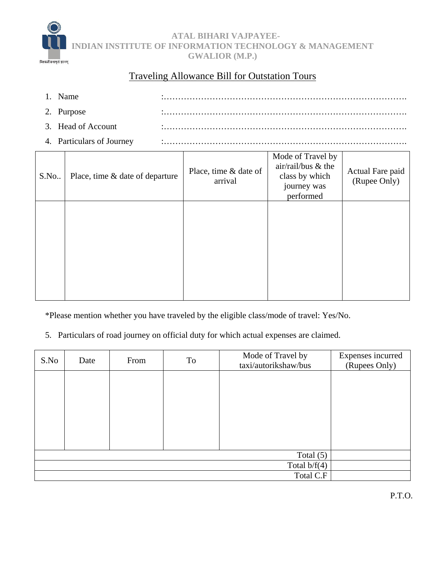

 **ATAL BIHARI VAJPAYEE-INDIAN INSTITUTE OF INFORMATION TECHNOLOGY & MANAGEMENT GWALIOR (M.P.)** 

## Traveling Allowance Bill for Outstation Tours

| 1. Name                   |  |
|---------------------------|--|
| 2. Purpose                |  |
| 3. Head of Account        |  |
| 4. Particulars of Journey |  |

| S.No. | Place, time & date of departure | Place, time & date of<br>arrival | Mode of Travel by<br>air/rail/bus & the<br>class by which<br>journey was<br>performed | Actual Fare paid<br>(Rupee Only) |
|-------|---------------------------------|----------------------------------|---------------------------------------------------------------------------------------|----------------------------------|
|       |                                 |                                  |                                                                                       |                                  |
|       |                                 |                                  |                                                                                       |                                  |

\*Please mention whether you have traveled by the eligible class/mode of travel: Yes/No.

5. Particulars of road journey on official duty for which actual expenses are claimed.

| S.No        | Date           | From | To | Mode of Travel by<br>taxi/autorikshaw/bus | Expenses incurred<br>(Rupees Only) |
|-------------|----------------|------|----|-------------------------------------------|------------------------------------|
|             |                |      |    |                                           |                                    |
|             |                |      |    |                                           |                                    |
|             |                |      |    |                                           |                                    |
|             |                |      |    |                                           |                                    |
|             |                |      |    |                                           |                                    |
|             |                |      |    |                                           |                                    |
| Total $(5)$ |                |      |    |                                           |                                    |
|             | Total $b/f(4)$ |      |    |                                           |                                    |
|             | Total C.F      |      |    |                                           |                                    |